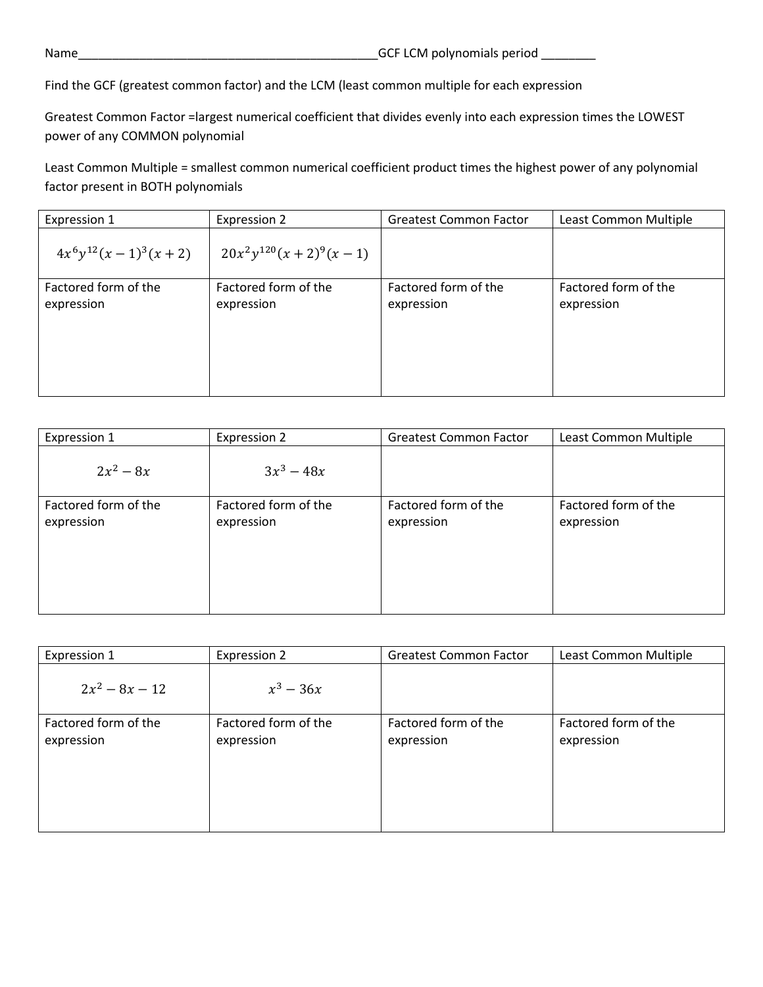Find the GCF (greatest common factor) and the LCM (least common multiple for each expression

Greatest Common Factor =largest numerical coefficient that divides evenly into each expression times the LOWEST power of any COMMON polynomial

Least Common Multiple = smallest common numerical coefficient product times the highest power of any polynomial factor present in BOTH polynomials

| Expression 1             | <b>Expression 2</b>        | <b>Greatest Common Factor</b> | Least Common Multiple |
|--------------------------|----------------------------|-------------------------------|-----------------------|
| $4x^6y^{12}(x-1)^3(x+2)$ | $20x^2y^{120}(x+2)^9(x-1)$ |                               |                       |
| Factored form of the     | Factored form of the       | Factored form of the          | Factored form of the  |
| expression               | expression                 | expression                    | expression            |
|                          |                            |                               |                       |
|                          |                            |                               |                       |
|                          |                            |                               |                       |
|                          |                            |                               |                       |

| Expression 1                       | Expression 2                       | <b>Greatest Common Factor</b>      | Least Common Multiple              |
|------------------------------------|------------------------------------|------------------------------------|------------------------------------|
| $2x^2 - 8x$                        | $3x^3 - 48x$                       |                                    |                                    |
| Factored form of the<br>expression | Factored form of the<br>expression | Factored form of the<br>expression | Factored form of the<br>expression |

| Expression 1                       | Expression 2                       | <b>Greatest Common Factor</b>      | Least Common Multiple              |
|------------------------------------|------------------------------------|------------------------------------|------------------------------------|
| $2x^2 - 8x - 12$                   | $x^3 - 36x$                        |                                    |                                    |
| Factored form of the<br>expression | Factored form of the<br>expression | Factored form of the<br>expression | Factored form of the<br>expression |